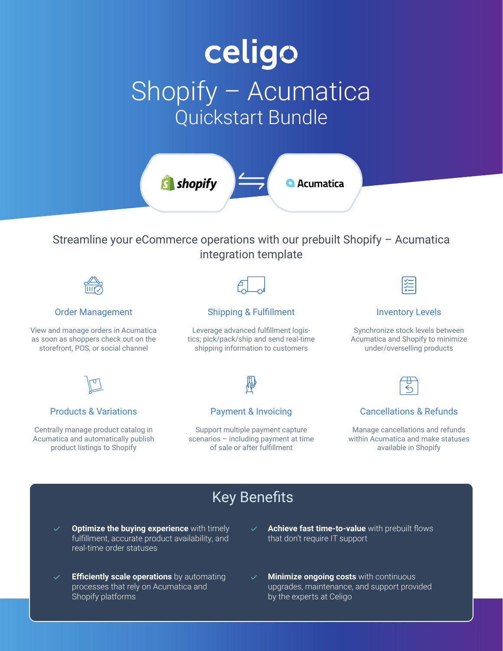# celigo Shopify – Acumatica Quickstart Bundle

## $\mathbf S$  shopify **A**cumatica

### Streamline your eCommerce operations with our prebuilt Shopify – Acumatica integration template



#### Order Management

View and manage orders in Acumatica as soon as shoppers check out on the storefront, POS, or social channel



#### Shipping & Fulfillment

Leverage advanced fulfillment logistics; pick/pack/ship and send real-time shipping information to customers



#### Inventory Levels

Synchronize stock levels between Acumatica and Shopify to minimize under/overselling products



#### Products & Variations

Centrally manage product catalog in Acumatica and automatically publish product listings to Shopify



#### Payment & Invoicing

Support multiple payment capture scenarios – including payment at time of sale or after fulfillment



#### Cancellations & Refunds

Manage cancellations and refunds within Acumatica and make statuses available in Shopify

## Key Benefits

- **Optimize the buying experience** with timely fulfillment, accurate product availability, and real-time order statuses
- **Efficiently scale operations** by automating processes that rely on Acumatica and Shopify platforms
- **Achieve fast time-to-value** with prebuilt flows that don't require IT support
- **Minimize ongoing costs** with continuous upgrades, maintenance, and support provided by the experts at Celigo